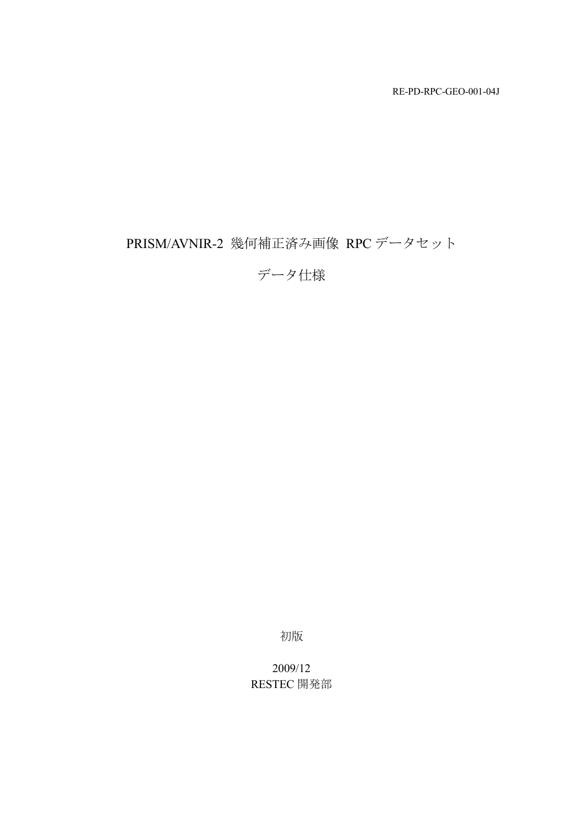RE-PD-RPC-GEO-001-04J

# PRISM/AVNIR-2 幾何補正済み画像 RPC データセット

データ仕様

初版

2009/12 RESTEC 開発部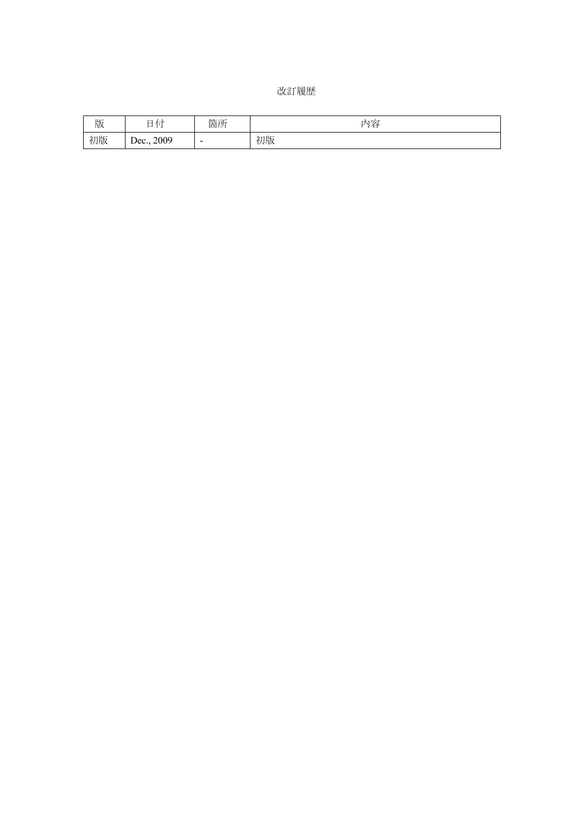| 改訂履歴 |  |
|------|--|
|------|--|

| 版  | $\overline{\phantom{a}}$<br>$\perp$<br>1 \<br>_<br>. . | 箇所 | 花<br>内<br>一台 |
|----|--------------------------------------------------------|----|--------------|
| 初版 | 2009<br>Dec.                                           | -  | 初版           |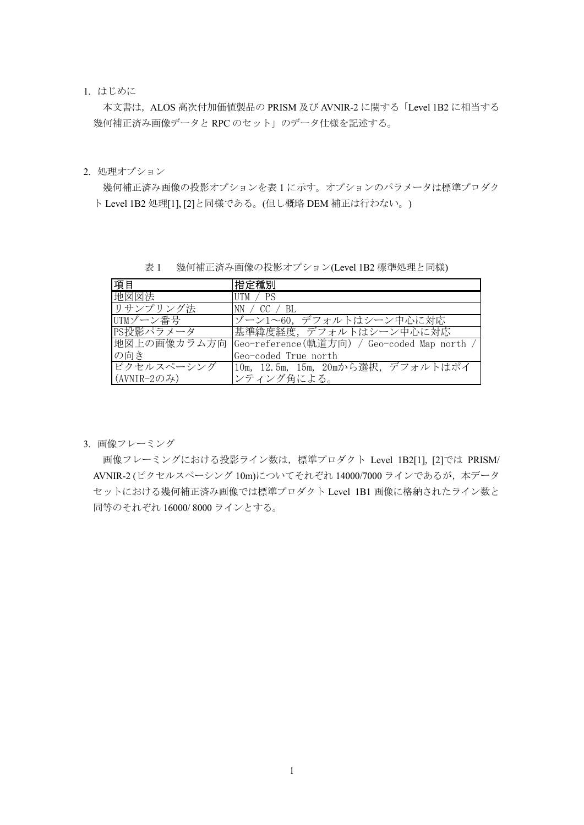1. はじめに

本文書は,ALOS 高次付加価値製品の PRISM 及び AVNIR-2 に関する「Level 1B2 に相当する 幾何補正済み画像データと RPC のセット」のデータ仕様を記述する。

2. 処理オプション

幾何補正済み画像の投影オプションを表 1 に示す。オプションのパラメータは標準プロダク ト Level 1B2 処理[1], [2]と同様である。(但し概略 DEM 補正は行わない。)

表 1 幾何補正済み画像の投影オプション(Level 1B2 標準処理と同様)

| 項目                  | 指定種別                                                     |
|---------------------|----------------------------------------------------------|
| 地図図法                | $UTM \neq PS$                                            |
| リサンプリング法            | NN / CC / BL                                             |
| UTMゾーン番号            | ゾーン1~60, デフォルトはシーン中心に対応                                  |
| PS投影パラメータ           | 基準緯度経度、デフォルトはシーン中心に対応                                    |
|                     | 地図上の画像カラム方向  Geo-reference(軌道方向) / Geo-coded Map north / |
| の向き                 | Geo-coded True north                                     |
| ピクセルスペーシング          | 10m, 12.5m, 15m, 20mから選択, デフォルトはポイ                       |
| $(AVNIR-2O\lambda)$ | ンティング角による。                                               |

3. 画像フレーミング

画像フレーミングにおける投影ライン数は,標準プロダクト Level 1B2[1], [2]では PRISM/ AVNIR-2 (ピクセルスペーシング 10m)についてそれぞれ 14000/7000 ラインであるが, 本データ セットにおける幾何補正済み画像では標準プロダクト Level 1B1 画像に格納されたライン数と 同等のそれぞれ 16000/ 8000 ラインとする。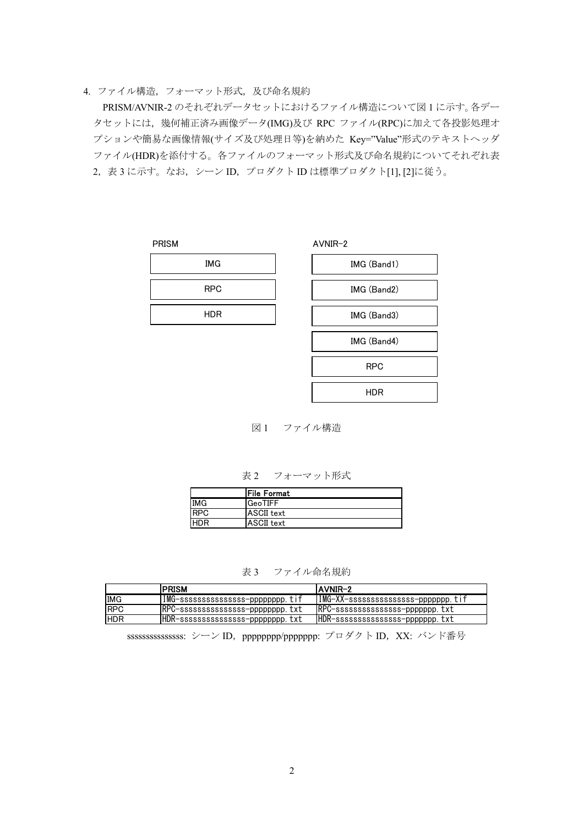#### 4. ファイル構造,フォーマット形式,及び命名規約

PRISM/AVNIR-2 のそれぞれデータセットにおけるファイル構造について図 1 に示す。各デー タセットには,幾何補正済み画像データ(IMG)及び RPC ファイル(RPC)に加えて各投影処理オ プションや簡易な画像情報(サイズ及び処理日等)を納めた Key="Value"形式のテキストヘッダ ファイル(HDR)を添付する。各ファイルのフォーマット形式及び命名規約についてそれぞれ表 2, 表 3 に示す。なお, シーン ID, プロダクト ID は標準プロダクト[1], [2]に従う。

| <b>PRISM</b> |            |  |
|--------------|------------|--|
|              | <b>IMG</b> |  |
|              | <b>RPC</b> |  |
|              | <b>HDR</b> |  |
|              |            |  |

| AVNIR-2 |             |
|---------|-------------|
|         | IMG (Band1) |
|         | IMG (Band2) |
|         | IMG (Band3) |
|         | IMG (Band4) |
|         | <b>RPC</b>  |
|         | HDR         |
|         |             |

図 1 ファイル構造

表 2 フォーマット形式

|            | <b>File Format</b> |
|------------|--------------------|
| <b>IMG</b> | $_{\sf IGeoTIFF}$  |
| <b>RPC</b> | <b>ASCII</b> text  |
|            | <b>ASCII</b> text  |

表 3 ファイル命名規約

|             | <b>IPRISM</b>                     | <b>IAVNIR-2</b>                     |
|-------------|-----------------------------------|-------------------------------------|
| <b>IMG</b>  | IMG-ssssssssssssssss-pppppppp.tif | IMG-XX-ssssssssssssssss-ppppppp.tif |
| <b>IRPC</b> | RPC-ssssssssssssssss-pppppppp.txt | RPC-ssssssssssssssss-ppppppp.txt    |
| <b>IHDR</b> | HDR-sssssssssssssss-pppppppp.txt  | HDR-sssssssssssssss-ppppppp.txt     |

ssssssssssssssssss: シーン ID, ppppppppp/pppppppppp: プロダクト ID, XX: バンド番号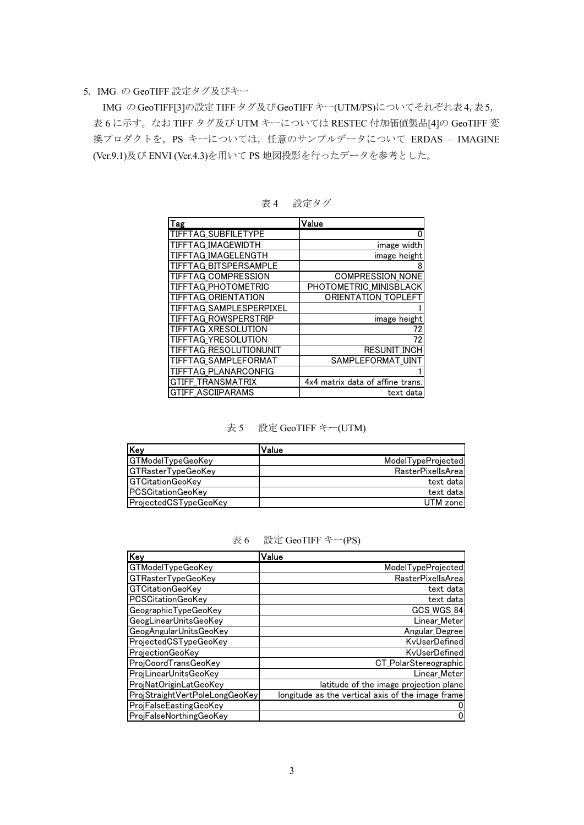#### 5. IMG の GeoTIFF 設定タグ及びキー

IMG のGeoTIFF[3]の設定TIFFタグ及びGeoTIFFキー(UTM/PS)についてそれぞれ表4,表5, 表 6 に示す。なお TIFF タグ及び UTM キーについては RESTEC 付加価値製品[4]の GeoTIFF 変 換プロダクトを,PS キーについては,任意のサンプルデータについて ERDAS – IMAGINE (Ver.9.1)及び ENVI (Ver.4.3)を用いて PS 地図投影を行ったデータを参考とした。

| Tag                        | Value                            |
|----------------------------|----------------------------------|
| <b>TIFFTAG SUBFILETYPE</b> |                                  |
| TIFFTAG IMAGEWIDTH         | image width                      |
| TIFFTAG IMAGELENGTH        | image height                     |
| TIFFTAG BITSPERSAMPLE      |                                  |
| <b>TIFFTAG COMPRESSION</b> | COMPRESSION_NONE                 |
| TIFFTAG_PHOTOMETRIC        | PHOTOMETRIC_MINISBLACK           |
| TIFFTAG ORIENTATION        | ORIENTATION_TOPLEFT              |
| TIFFTAG SAMPLESPERPIXEL    |                                  |
| TIFFTAG ROWSPERSTRIP       | image height                     |
| TIFFTAG XRESOLUTION        | 72                               |
| TIFFTAG YRESOLUTION        | 72                               |
| TIFFTAG RESOLUTIONUNIT     | <b>RESUNIT INCH</b>              |
| TIFFTAG SAMPLEFORMAT       | SAMPLEFORMAT UINT                |
| TIFFTAG PLANARCONFIG       |                                  |
| <b>GTIFF TRANSMATRIX</b>   | 4x4 matrix data of affine trans. |
| <b>GTIFF ASCIIPARAMS</b>   | text data                        |

表4 設定タグ

#### 表 5 設定 GeoTIFF キー(UTM)

| <b>Key</b>                | Value                    |
|---------------------------|--------------------------|
| GTModelTypeGeoKey         | ModelTypeProjected       |
| <b>GTRasterTypeGeoKey</b> | <b>RasterPixelIsArea</b> |
| <b>IGTCitationGeoKev</b>  | text data                |
| <b>IPCSCitationGeoKev</b> | text data                |
| ProjectedCSTypeGeoKey     | UTM zone                 |

表 6 設定 GeoTIFF キー(PS)

| Key                            | Value                                             |
|--------------------------------|---------------------------------------------------|
| GTModelTypeGeoKey              | ModelTypeProjected                                |
| <b>GTRasterTypeGeoKey</b>      | <b>RasterPixelIsAreal</b>                         |
| <b>GTCitationGeoKev</b>        | text data                                         |
| <b>PCSCitationGeoKev</b>       | text data                                         |
| GeographicTypeGeoKey           | GCS WGS 84                                        |
| GeogLinearUnitsGeoKey          | Linear_Meter                                      |
| GeogAngularUnitsGeoKey         | Angular Degree                                    |
| ProjectedCSTypeGeoKey          | KvUserDefined                                     |
| ProjectionGeoKev               | KvUserDefined                                     |
| ProjCoordTransGeoKey           | CT PolarStereographic                             |
| ProjLinearUnitsGeoKey          | Linear Meter                                      |
| ProjNatOriginLatGeoKey         | latitude of the image projection plane            |
| ProjStraightVertPoleLongGeoKey | longitude as the vertical axis of the image frame |
| ProjFalseEastingGeoKey         |                                                   |
| ProjFalseNorthingGeoKey        |                                                   |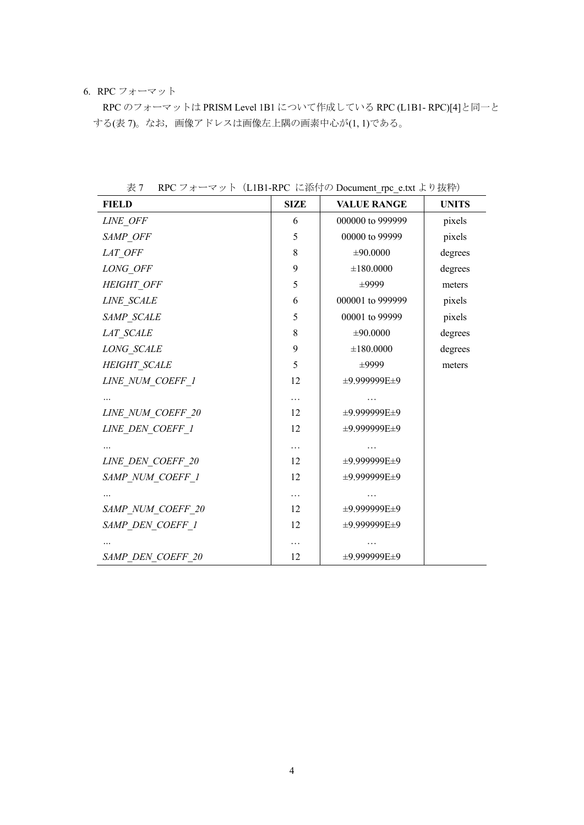## 6. RPC フォーマット

RPC のフォーマットは PRISM Level 1B1 について作成している RPC (L1B1- RPC)[4]と同一と する(表 7)。なお,画像アドレスは画像左上隅の画素中心が(1, 1)である。

| <b>FIELD</b>      | <b>SIZE</b> | <b>VALUE RANGE</b> | <b>UNITS</b> |
|-------------------|-------------|--------------------|--------------|
| LINE OFF          | 6           | 000000 to 999999   | pixels       |
| SAMP_OFF          | 5           | 00000 to 99999     | pixels       |
| LAT OFF           | 8           | ±90.0000           | degrees      |
| LONG OFF          | 9           | ±180.0000          | degrees      |
| HEIGHT OFF        | 5           | ±9999              | meters       |
| LINE SCALE        | 6           | 000001 to 999999   | pixels       |
| SAMP SCALE        | 5           | 00001 to 99999     | pixels       |
| LAT SCALE         | 8           | ±90.0000           | degrees      |
| LONG SCALE        | 9           | ±180.0000          | degrees      |
| HEIGHT SCALE      | 5           | ±9999              | meters       |
| LINE NUM COEFF 1  | 12          | ±9.999999E±9       |              |
|                   | $\ldots$    |                    |              |
| LINE_NUM_COEFF_20 | 12          | ±9.999999E±9       |              |
| LINE DEN COEFF 1  | 12          | ±9.999999E±9       |              |
|                   | $\cdots$    |                    |              |
| LINE DEN COEFF 20 | 12          | ±9.999999E±9       |              |
| SAMP NUM COEFF 1  | 12          | ±9.999999E±9       |              |
|                   | $\cdots$    |                    |              |
| SAMP NUM COEFF 20 | 12          | ±9.999999E±9       |              |
| SAMP DEN COEFF 1  | 12          | ±9.999999E±9       |              |
|                   | .           |                    |              |
| SAMP DEN COEFF 20 | 12          | ±9.999999E±9       |              |

表 7 RPC フォーマット (L1B1-RPC に添付の Document\_rpc\_e.txt より抜粋)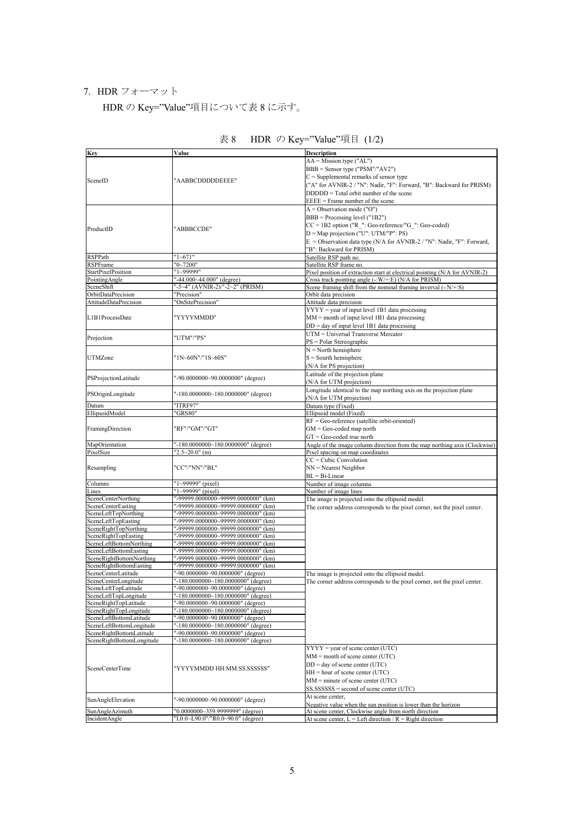## 7. HDR フォーマット

HDR の Key="Value"項目について表 8 に示す。

| <b>Key</b>                | Value                               | <b>Description</b>                                                          |
|---------------------------|-------------------------------------|-----------------------------------------------------------------------------|
|                           |                                     | $AA = Mission type ("AL")$                                                  |
|                           |                                     | $BBB =$ Sensor type ("PSM"/"AV2")                                           |
|                           |                                     |                                                                             |
| SceneID                   | "AABBCDDDDDEEEE"                    | $C =$ Supplemental remarks of sensor type                                   |
|                           |                                     | ("A" for AVNIR-2 / "N": Nadir, "F": Forward, "B": Backward for PRISM)       |
|                           |                                     | $DDDDD = Total orbit number of the scene$                                   |
|                           |                                     | $EEE = Frame$ number of the scene                                           |
|                           |                                     | $A =$ Observation mode ("O")                                                |
|                           |                                     | $BBB = Processing level ("1B2")$                                            |
|                           |                                     |                                                                             |
| ProductID                 | "ABBBCCDE"                          | $CC = 1B2$ option ("R_": Geo-reference/"G_": Geo-coded)                     |
|                           |                                     | $D = Map$ projection ("U": UTM/"P": PS)                                     |
|                           |                                     | $E =$ Observation data type (N/A for AVNIR-2 / "N": Nadir, "F": Forward,    |
|                           |                                     | 'B": Backward for PRISM)                                                    |
| <b>RSPPath</b>            | "1~671"                             | Satellite RSP path no.                                                      |
| <b>RSPFrame</b>           | $'0 - 7200''$                       | Satellite RSP frame no.                                                     |
|                           |                                     |                                                                             |
| StartPixelPosition        | "1~99999"                           | Pixel position of extraction start at electrical pointing (N/A for AVNIR-2) |
| PointingAngle             | "-44.000~44.000" (degree)           | Cross track pointing angle (-: W/+: E) (N/A for PRISM)                      |
| SceneShift                | "-5~4" (AVNIR-2)/"-2~2" (PRISM)     | Scene framing shift from the nominal framing inverval $(-N/+.S)$            |
| OrbitDataPrecision        | "Precision"                         | Orbit data precision                                                        |
| AttitudeDataPrecision     | "OnSitePrecision"                   | Attitude data precision                                                     |
|                           |                                     | $YYYY = year$ of input level 1B1 data processing                            |
| L1B1ProcessDate           | "YYYYMMDD"                          | $MM =$ month of input level 1B1 data processing                             |
|                           |                                     |                                                                             |
|                           |                                     | $DD = day$ of input level 1B1 data processing                               |
| Projection                | "UTM"/"PS"                          | UTM = Universal Transverse Mercator                                         |
|                           |                                     | $PS = Polar Stereographic$                                                  |
|                           |                                     | $N =$ North hemisphere                                                      |
| <b>UTMZone</b>            | "1N~60N"/"1S~60S"                   | $S =$ Sourth hemisphere                                                     |
|                           |                                     | (N/A for PS projection)                                                     |
|                           |                                     |                                                                             |
| PSProjectionLatitude      | "-90.0000000~90.0000000" (degree)   | Latitude of the projection plane                                            |
|                           |                                     | (N/A for UTM projection)                                                    |
|                           |                                     | Longitude identical to the map northing axis on the projection plane        |
| PSOriginLongitude         | "-180.0000000~180.0000000" (degree) | (N/A for UTM projection)                                                    |
| Datum                     | "ITRF97"                            | Datum type (Fixed)                                                          |
| EllipsoidModel            |                                     |                                                                             |
|                           | "GRS80"                             | Ellipsoid model (Fixed)                                                     |
|                           |                                     | $RF = Geo-reference$ (satellite orbit-oriented)                             |
| FramingDirection          | "RF"/"GM"/"GT"                      | $GM = Geo-coded$ map north                                                  |
|                           |                                     | $GT = Geo-coded true north$                                                 |
| MapOrientation            | "-180.0000000~180.0000000" (degree) | Angle of the image column direction from the map northing axis (Clockwise)  |
| PixelSize                 | " $2.5 \sim 20.0$ " (m)             | Pixel spacing on map coordinates                                            |
|                           |                                     | $CC = Cubic Convolution$                                                    |
|                           |                                     |                                                                             |
| Resampling                | "CC"/"NN"/"BL"                      | $NN = Nearest Neighbour$                                                    |
|                           |                                     | $BL = Bi-Linear$                                                            |
| Columns                   | " $1 - 99999$ " (pixel)             | Number of image columns                                                     |
| Lines                     | "1~99999" (pixel)                   | Number of image lines                                                       |
| SceneCenterNorthing       | "-99999.0000000~99999.0000000" (km) | The image is projected onto the ellipsoid model.                            |
| <b>SceneCenterEasting</b> | "-99999.0000000~99999.0000000" (km) | The corner address corresponds to the pixel corner, not the pixel center.   |
| SceneLeftTopNorthing      | "-99999.0000000~99999.0000000" (km) |                                                                             |
|                           | "-99999.0000000~99999.0000000" (km) |                                                                             |
| SceneLeftTopEasting       |                                     |                                                                             |
| SceneRightTopNorthing     | "-99999.0000000~99999.0000000" (km) |                                                                             |
| SceneRightTopEasting      | "-99999.0000000~99999.0000000" (km) |                                                                             |
| SceneLeftBottomNorthing   | "-99999.0000000~99999.0000000" (km) |                                                                             |
| SceneLeftBottomEasting    | "-99999.0000000~99999.0000000" (km) |                                                                             |
| SceneRightBottomNorthing  | "-99999.0000000~99999.0000000" (km) |                                                                             |
| SceneRightBottomEasting   | "-99999.0000000~99999.0000000" (km) |                                                                             |
| SceneCenterLatitude       | "-90.0000000~90.0000000" (degree)   | The image is projected onto the ellipsoid model.                            |
| SceneCenterLongitude      | "-180.0000000~180.0000000" (degree) |                                                                             |
| SceneLeftTonLatitude      | "-90 0000000~90 0000000" (degree)   | The corner address corresponds to the pixel corner, not the pixel center.   |
|                           |                                     |                                                                             |
| SceneLeftTopLongitude     | "-180.0000000~180.0000000" (degree) |                                                                             |
| SceneRightTopLatitude     | "-90.0000000~90.0000000" (degree)   |                                                                             |
| SceneRightTopLongitude    | "-180.0000000~180.0000000" (degree) |                                                                             |
| SceneLeftBottomLatitude   | "-90.0000000~90.0000000" (degree)   |                                                                             |
| SceneLeftBottomLongitude  | "-180.0000000~180.0000000" (degree) |                                                                             |
| SceneRightBottomLatitude  | "-90.0000000~90.0000000" (degree)   |                                                                             |
| SceneRightBottomLongitude | "-180.0000000~180.0000000" (degree) |                                                                             |
|                           |                                     | $YYYY = year$ of scene center (UTC)                                         |
|                           |                                     |                                                                             |
|                           |                                     | $MM =$ month of scene center (UTC)                                          |
| SceneCenterTime           | "YYYYMMDD HH:MM:SS.SSSSSS"          | $DD = day$ of scene center (UTC)                                            |
|                           |                                     | $HH = hour of scene center (UTC)$                                           |
|                           |                                     | $MM = minute of scene center (UTC)$                                         |
|                           |                                     | $SSSSSSS =$ second of scene center (UTC)                                    |
|                           |                                     |                                                                             |
| SunAngleElevation         | "-90.0000000~90.0000000" (degree)   | At scene center,                                                            |
|                           |                                     | Negative value when the sun position is lower than the horizon              |
| SunAngleAzimuth           | "0.0000000~359.9999999" (degree)    | At scene center, Clockwise angle from north direction                       |
| IncidentAngle             | "L0.0~L90.0"/"R0.0~90.0" (degree)   | At scene center, $L = Left direction / R = Right direction$                 |

# 表 8 HDR の Key="Value"項目 (1/2)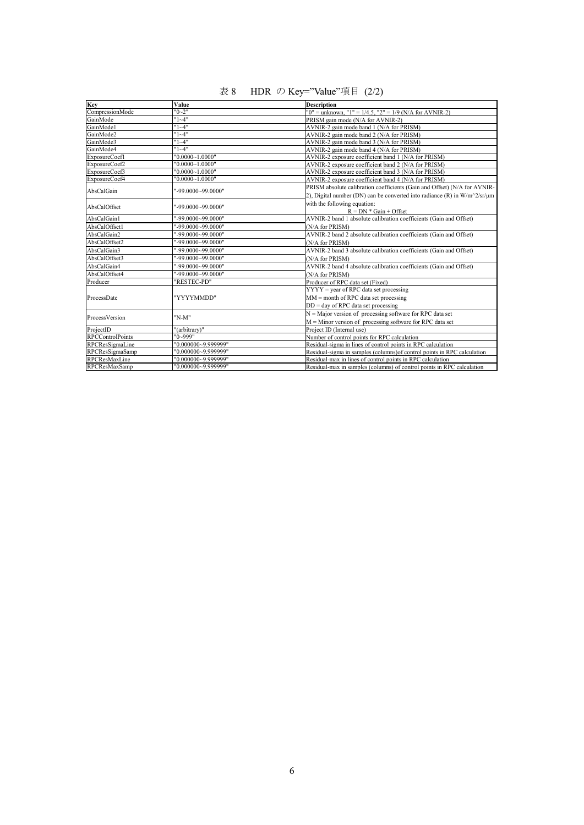| 表 8 | HDR の Key="Value"項目 (2/2) |  |
|-----|---------------------------|--|
|     |                           |  |

| Key                     | Value               | <b>Description</b>                                                        |  |
|-------------------------|---------------------|---------------------------------------------------------------------------|--|
| CompressionMode         | "0~2"               | "0" = unknown, "1" = $1/4.5$ , "2" = $1/9$ (N/A for AVNIR-2)              |  |
| GainMode                | $"1~-4"$            | PRISM gain mode (N/A for AVNIR-2)                                         |  |
| GainMode1               | $"1~-4"$            | AVNIR-2 gain mode band 1 (N/A for PRISM)                                  |  |
| GainMode2               | $"1~-4"$            | AVNIR-2 gain mode band 2 (N/A for PRISM)                                  |  |
| GainMode3               | $"1~-4"$            | AVNIR-2 gain mode band 3 (N/A for PRISM)                                  |  |
| GainMode4               | "1~4"               | AVNIR-2 gain mode band 4 (N/A for PRISM)                                  |  |
| ExposureCoef1           | "0.0000~1.0000"     | AVNIR-2 exposure coefficient band 1 (N/A for PRISM)                       |  |
| ExposureCoef2           | "0.0000~1.0000"     | AVNIR-2 exposure coefficient band 2 (N/A for PRISM)                       |  |
| ExposureCoef3           | "0.0000~1.0000"     | AVNIR-2 exposure coefficient band 3 (N/A for PRISM)                       |  |
| ExposureCoef4           | "0.0000~1.0000"     | AVNIR-2 exposure coefficient band 4 (N/A for PRISM)                       |  |
| AbsCalGain              | "-99.0000~99.0000"  | PRISM absolute calibration coefficients (Gain and Offset) (N/A for AVNIR- |  |
|                         |                     | 2), Digital number (DN) can be converted into radiance (R) in W/m^2/sr/µm |  |
|                         |                     | with the following equation:                                              |  |
| AbsCalOffset            | "-99.0000~99.0000"  | $R = DN * Gain + Offset$                                                  |  |
| AbsCalGain1             | "-99.0000~99.0000"  | AVNIR-2 band 1 absolute calibration coefficients (Gain and Offset)        |  |
| AbsCalOffset1           | "-99.0000~99.0000"  | (N/A for PRISM)                                                           |  |
| AbsCalGain2             | "-99.0000~99.0000"  | AVNIR-2 band 2 absolute calibration coefficients (Gain and Offset)        |  |
| AbsCalOffset2           | "-99.0000~99.0000"  | (N/A for PRISM)                                                           |  |
| AbsCalGain3             | "-99.0000~99.0000"  | AVNIR-2 band 3 absolute calibration coefficients (Gain and Offset)        |  |
| AbsCalOffset3           | "-99.0000~99.0000"  | (N/A for PRISM)                                                           |  |
| AbsCalGain4             | "-99.0000~99.0000"  | AVNIR-2 band 4 absolute calibration coefficients (Gain and Offset)        |  |
| AbsCalOffset4           | "-99.0000~99.0000"  | (N/A for PRISM)                                                           |  |
| Producer                | "RESTEC-PD"         | Producer of RPC data set (Fixed)                                          |  |
| ProcessDate             | "YYYYMMDD"          | $YYYY = year$ of RPC data set processing                                  |  |
|                         |                     | $MM =$ month of RPC data set processing                                   |  |
|                         |                     | $DD = day$ of RPC data set processing                                     |  |
|                         |                     | $N =$ Major version of processing software for RPC data set               |  |
| ProcessVersion          | "N-M"               | $M =$ Minor version of processing software for RPC data set               |  |
| ProjectID               | "(arbitrary)"       | Project ID (Internal use)                                                 |  |
| <b>RPCControlPoints</b> | "0~999"             | Number of control points for RPC calculation                              |  |
| RPCResSigmaLine         | "0.000000~9.999999" | Residual-sigma in lines of control points in RPC calculation              |  |
| RPCResSigmaSamp         | "0.000000~9.999999" | Residual-sigma in samples (columns) of control points in RPC calculation  |  |
| RPCResMaxLine           | "0.000000~9.999999" | Residual-max in lines of control points in RPC calculation                |  |
| <b>RPCResMaxSamp</b>    | "0.000000~9.999999" | Residual-max in samples (columns) of control points in RPC calculation    |  |